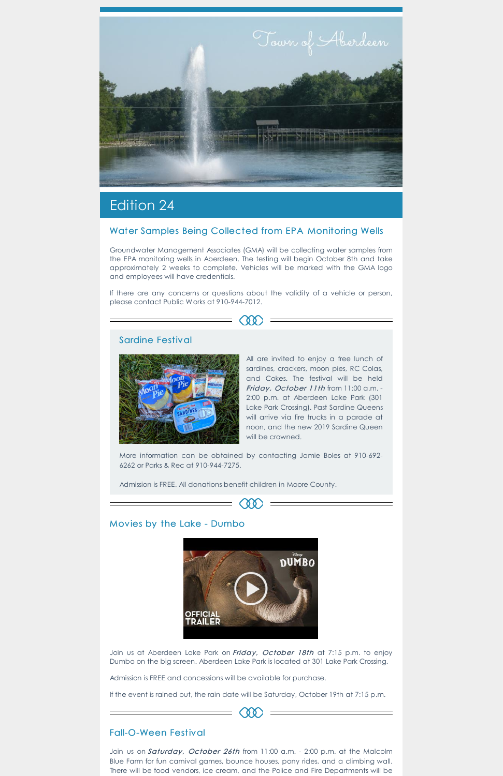

# Edition 24

# Water Samples Being Collected from EPA Monitoring Wells

Groundwater Management Associates (GMA) will be collecting water samples from the EPA monitoring wells in Aberdeen. The testing will begin October 8th and take approximately 2 weeks to complete. Vehicles will be marked with the GMA logo and employees will have credentials.

If there are any concerns or questions about the validity of a vehicle or person, please contact Public Works at 910-944-7012.



## Sardine Festival



Join us at Aberdeen Lake Park on *Friday, October 18th* at 7:15 p.m. to enjoy Dumbo on the big screen. Aberdeen Lake Park is located at 301 Lake Park Crossing.

All are invited to enjoy a free lunch of sardines, crackers, moon pies, RC Colas, and Cokes. The festival will be held Friday, October 11th from 11:00 a.m. -2:00 p.m. at Aberdeen Lake Park (301 Lake Park Crossing). Past Sardine Queens will arrive via fire trucks in a parade at noon, and the new 2019 Sardine Queen will be crowned.

Join us on Saturday, October 26th from 11:00 a.m. - 2:00 p.m. at the Malcolm Blue Farm for fun carnival games, bounce houses, pony rides, and a climbing wall. There will be food vendors, ice cream, and the Police and Fire Departments will be

More information can be obtained by contacting Jamie Boles at 910-692- 6262 or Parks & Rec at 910-944-7275.

Admission is FREE. All donations benefit children in Moore County.





Admission is FREE and concessions will be available for purchase.

If the event is rained out, the rain date will be Saturday, October 19th at 7:15 p.m.

00)

#### Fall-O-Ween Festival